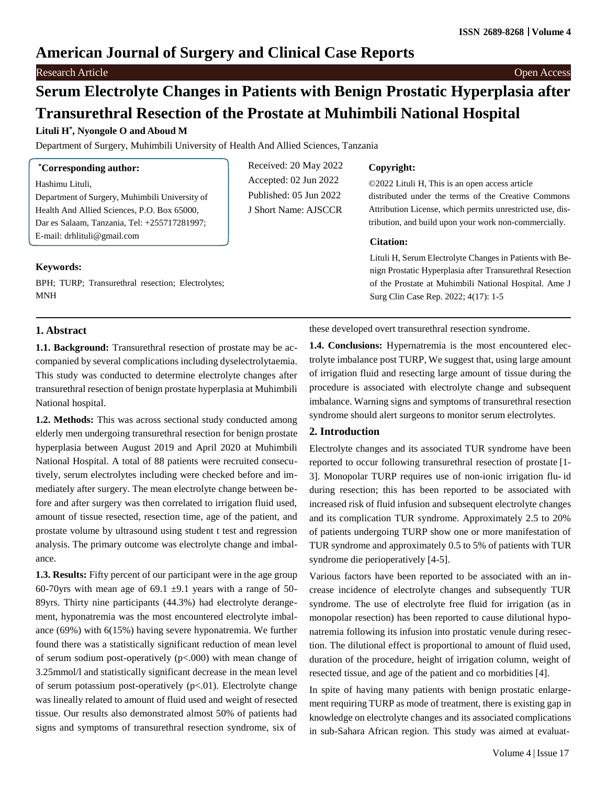## **American Journal of Surgery and Clinical Case Reports**

**Research Article** Open Access **Contract Contract Contract Contract Contract Contract Contract Contract Contract Contract Contract Contract Contract Contract Contract Contract Contract Contract Contract Contract Contract C** 

# **Serum Electrolyte Changes in Patients with Benign Prostatic Hyperplasia after Transurethral Resection of the Prostate at Muhimbili National Hospital**

J Short Name: AJSCCR

## **Lituli H\* , Nyongole O and Aboud M**

Department of Surgery, Muhimbili University of Health And Allied Sciences, Tanzania

## **\*Corresponding author:**

Hashimu Lituli,

Department of Surgery, Muhimbili University of Health And Allied Sciences, P.O. Box 65000, Dar es Salaam, Tanzania, Tel: +255717281997; E-mail: [drhlituli@gmail.com](mailto:drhlituli@gmail.com)

## **Keywords:**

BPH; TURP; Transurethral resection; Electrolytes; MNH

## Received: 20 May 2022 Accepted: 02 Jun 2022 Published: 05 Jun 2022

#### **Copyright:**

©2022 Lituli H, This is an open access article distributed under the terms of the Creative Commons Attribution License, which permits unrestricted use, distribution, and build upon your work non-commercially.

#### **Citation:**

Lituli H, Serum Electrolyte Changes in Patients with Benign Prostatic Hyperplasia after Transurethral Resection of the Prostate at Muhimbili National Hospital. Ame J Surg Clin Case Rep. 2022; 4(17): 1-5

## **1. Abstract**

**1.1. Background:** Transurethral resection of prostate may be accompanied by several complications including dyselectrolytaemia. This study was conducted to determine electrolyte changes after transurethral resection of benign prostate hyperplasia at Muhimbili National hospital.

**1.2. Methods:** This was across sectional study conducted among elderly men undergoing transurethral resection for benign prostate hyperplasia between August 2019 and April 2020 at Muhimbili National Hospital. A total of 88 patients were recruited consecutively, serum electrolytes including were checked before and immediately after surgery. The mean electrolyte change between before and after surgery was then correlated to irrigation fluid used, amount of tissue resected, resection time, age of the patient, and prostate volume by ultrasound using student t test and regression analysis. The primary outcome was electrolyte change and imbalance.

**1.3. Results:** Fifty percent of our participant were in the age group 60-70yrs with mean age of 69.1  $\pm$ 9.1 years with a range of 50-89yrs. Thirty nine participants (44.3%) had electrolyte derangement, hyponatremia was the most encountered electrolyte imbalance (69%) with 6(15%) having severe hyponatremia. We further found there was a statistically significant reduction of mean level of serum sodium post-operatively (p<.000) with mean change of 3.25mmol/l and statistically significant decrease in the mean level of serum potassium post-operatively  $(p<.01)$ . Electrolyte change was lineally related to amount of fluid used and weight of resected tissue. Our results also demonstrated almost 50% of patients had signs and symptoms of transurethral resection syndrome, six of

these developed overt transurethral resection syndrome.

**1.4. Conclusions:** Hypernatremia is the most encountered electrolyte imbalance post TURP, We suggest that, using large amount of irrigation fluid and resecting large amount of tissue during the procedure is associated with electrolyte change and subsequent imbalance. Warning signs and symptoms of transurethral resection syndrome should alert surgeons to monitor serum electrolytes.

## **2. Introduction**

Electrolyte changes and its associated TUR syndrome have been reported to occur following transurethral resection of prostate [1- 3]. Monopolar TURP requires use of non-ionic irrigation flu- id during resection; this has been reported to be associated with increased risk of fluid infusion and subsequent electrolyte changes and its complication TUR syndrome. Approximately 2.5 to 20% of patients undergoing TURP show one or more manifestation of TUR syndrome and approximately 0.5 to 5% of patients with TUR syndrome die perioperatively [4-5].

Various factors have been reported to be associated with an increase incidence of electrolyte changes and subsequently TUR syndrome. The use of electrolyte free fluid for irrigation (as in monopolar resection) has been reported to cause dilutional hyponatremia following its infusion into prostatic venule during resection. The dilutional effect is proportional to amount of fluid used, duration of the procedure, height of irrigation column, weight of resected tissue, and age of the patient and co morbidities [4].

In spite of having many patients with benign prostatic enlargement requiring TURP as mode of treatment, there is existing gap in knowledge on electrolyte changes and its associated complications in sub-Sahara African region. This study was aimed at evaluat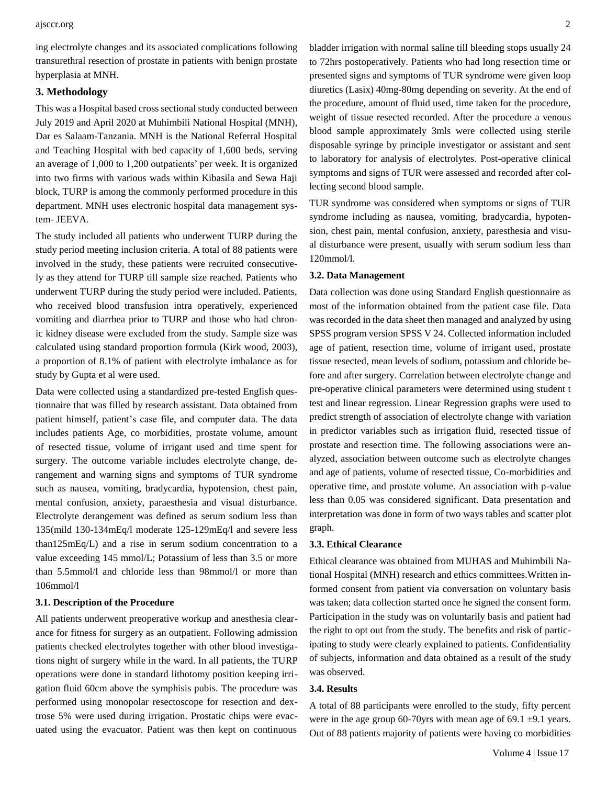ing electrolyte changes and its associated complications following transurethral resection of prostate in patients with benign prostate hyperplasia at MNH.

#### **3. Methodology**

This was a Hospital based cross sectional study conducted between July 2019 and April 2020 at Muhimbili National Hospital (MNH), Dar es Salaam-Tanzania. MNH is the National Referral Hospital and Teaching Hospital with bed capacity of 1,600 beds, serving an average of 1,000 to 1,200 outpatients' per week. It is organized into two firms with various wads within Kibasila and Sewa Haji block, TURP is among the commonly performed procedure in this department. MNH uses electronic hospital data management system- JEEVA.

The study included all patients who underwent TURP during the study period meeting inclusion criteria. A total of 88 patients were involved in the study, these patients were recruited consecutively as they attend for TURP till sample size reached. Patients who underwent TURP during the study period were included. Patients, who received blood transfusion intra operatively, experienced vomiting and diarrhea prior to TURP and those who had chronic kidney disease were excluded from the study. Sample size was calculated using standard proportion formula (Kirk wood, 2003), a proportion of 8.1% of patient with electrolyte imbalance as for study by Gupta et al were used.

Data were collected using a standardized pre-tested English questionnaire that was filled by research assistant. Data obtained from patient himself, patient's case file, and computer data. The data includes patients Age, co morbidities, prostate volume, amount of resected tissue, volume of irrigant used and time spent for surgery. The outcome variable includes electrolyte change, derangement and warning signs and symptoms of TUR syndrome such as nausea, vomiting, bradycardia, hypotension, chest pain, mental confusion, anxiety, paraesthesia and visual disturbance. Electrolyte derangement was defined as serum sodium less than 135(mild 130-134mEq/l moderate 125-129mEq/l and severe less than125mEq/L) and a rise in serum sodium concentration to a value exceeding 145 mmol/L; Potassium of less than 3.5 or more than 5.5mmol/l and chloride less than 98mmol/l or more than 106mmol/l

#### **3.1. Description of the Procedure**

All patients underwent preoperative workup and anesthesia clearance for fitness for surgery as an outpatient. Following admission patients checked electrolytes together with other blood investigations night of surgery while in the ward. In all patients, the TURP operations were done in standard lithotomy position keeping irrigation fluid 60cm above the symphisis pubis. The procedure was performed using monopolar resectoscope for resection and dextrose 5% were used during irrigation. Prostatic chips were evacuated using the evacuator. Patient was then kept on continuous

bladder irrigation with normal saline till bleeding stops usually 24 to 72hrs postoperatively. Patients who had long resection time or presented signs and symptoms of TUR syndrome were given loop diuretics (Lasix) 40mg-80mg depending on severity. At the end of the procedure, amount of fluid used, time taken for the procedure, weight of tissue resected recorded. After the procedure a venous blood sample approximately 3mls were collected using sterile disposable syringe by principle investigator or assistant and sent to laboratory for analysis of electrolytes. Post-operative clinical symptoms and signs of TUR were assessed and recorded after collecting second blood sample.

TUR syndrome was considered when symptoms or signs of TUR syndrome including as nausea, vomiting, bradycardia, hypotension, chest pain, mental confusion, anxiety, paresthesia and visual disturbance were present, usually with serum sodium less than 120mmol/l.

#### **3.2. Data Management**

Data collection was done using Standard English questionnaire as most of the information obtained from the patient case file. Data was recorded in the data sheet then managed and analyzed by using SPSS program version SPSS V 24. Collected information included age of patient, resection time, volume of irrigant used, prostate tissue resected, mean levels of sodium, potassium and chloride before and after surgery. Correlation between electrolyte change and pre-operative clinical parameters were determined using student t test and linear regression. Linear Regression graphs were used to predict strength of association of electrolyte change with variation in predictor variables such as irrigation fluid, resected tissue of prostate and resection time. The following associations were analyzed, association between outcome such as electrolyte changes and age of patients, volume of resected tissue, Co-morbidities and operative time, and prostate volume. An association with p-value less than 0.05 was considered significant. Data presentation and interpretation was done in form of two ways tables and scatter plot graph.

#### **3.3. Ethical Clearance**

Ethical clearance was obtained from MUHAS and Muhimbili National Hospital (MNH) research and ethics committees.Written informed consent from patient via conversation on voluntary basis was taken; data collection started once he signed the consent form. Participation in the study was on voluntarily basis and patient had the right to opt out from the study. The benefits and risk of participating to study were clearly explained to patients. Confidentiality of subjects, information and data obtained as a result of the study was observed.

#### **3.4. Results**

A total of 88 participants were enrolled to the study, fifty percent were in the age group 60-70yrs with mean age of  $69.1 \pm 9.1$  years. Out of 88 patients majority of patients were having co morbidities

Volume 4 | Issue 17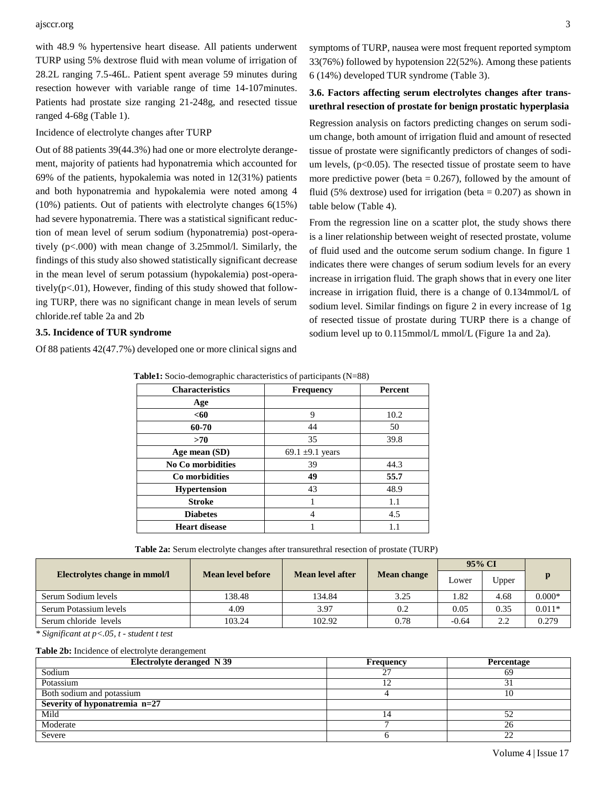#### ajsccr.org 3

with 48.9 % hypertensive heart disease. All patients underwent TURP using 5% dextrose fluid with mean volume of irrigation of 28.2L ranging 7.5-46L. Patient spent average 59 minutes during resection however with variable range of time 14-107minutes. Patients had prostate size ranging 21-248g, and resected tissue ranged 4-68g (Table 1).

#### Incidence of electrolyte changes after TURP

Out of 88 patients 39(44.3%) had one or more electrolyte derangement, majority of patients had hyponatremia which accounted for 69% of the patients, hypokalemia was noted in 12(31%) patients and both hyponatremia and hypokalemia were noted among 4 (10%) patients. Out of patients with electrolyte changes 6(15%) had severe hyponatremia. There was a statistical significant reduction of mean level of serum sodium (hyponatremia) post-operatively (p<.000) with mean change of 3.25mmol/l. Similarly, the findings of this study also showed statistically significant decrease in the mean level of serum potassium (hypokalemia) post-operatively( $p<.01$ ), However, finding of this study showed that following TURP, there was no significant change in mean levels of serum chloride.ref table 2a and 2b

#### **3.5. Incidence of TUR syndrome**

Of 88 patients 42(47.7%) developed one or more clinical signs and

symptoms of TURP, nausea were most frequent reported symptom 33(76%) followed by hypotension 22(52%). Among these patients 6 (14%) developed TUR syndrome (Table 3).

## **3.6. Factors affecting serum electrolytes changes after transurethral resection of prostate for benign prostatic hyperplasia**

Regression analysis on factors predicting changes on serum sodium change, both amount of irrigation fluid and amount of resected tissue of prostate were significantly predictors of changes of sodium levels,  $(p<0.05)$ . The resected tissue of prostate seem to have more predictive power (beta  $= 0.267$ ), followed by the amount of fluid (5% dextrose) used for irrigation (beta  $= 0.207$ ) as shown in table below (Table 4).

From the regression line on a scatter plot, the study shows there is a liner relationship between weight of resected prostate, volume of fluid used and the outcome serum sodium change. In figure 1 indicates there were changes of serum sodium levels for an every increase in irrigation fluid. The graph shows that in every one liter increase in irrigation fluid, there is a change of 0.134mmol/L of sodium level. Similar findings on figure 2 in every increase of 1g of resected tissue of prostate during TURP there is a change of sodium level up to 0.115mmol/L mmol/L (Figure 1a and 2a).

| <b>Characteristics</b>   | <b>Frequency</b>     | Percent |
|--------------------------|----------------------|---------|
| Age                      |                      |         |
| $60$                     | 9                    | 10.2    |
| 60-70                    | 44                   | 50      |
| >70                      | 35                   | 39.8    |
| Age mean (SD)            | 69.1 $\pm$ 9.1 years |         |
| <b>No Co morbidities</b> | 39                   | 44.3    |
| Co morbidities           | 49                   | 55.7    |
| <b>Hypertension</b>      | 43                   | 48.9    |
| <b>Stroke</b>            |                      | 1.1     |
| <b>Diabetes</b>          | 4                    | 4.5     |
| <b>Heart disease</b>     |                      | 1.1     |

**Table1:** Socio-demographic characteristics of participants (N=88)

**Table 2a:** Serum electrolyte changes after transurethral resection of prostate (TURP)

|                               |                   |                  |             | 95% CI  |       |          |
|-------------------------------|-------------------|------------------|-------------|---------|-------|----------|
| Electrolytes change in mmol/l | Mean level before | Mean level after | Mean change | Lower   | Upper | p        |
| Serum Sodium levels           | 138.48            | 134.84           | 3.25        | 1.82    | 4.68  | $0.000*$ |
| Serum Potassium levels        | 4.09              | 3.97             | 0.2         | 0.05    | 0.35  | $0.011*$ |
| Serum chloride levels         | 103.24            | 102.92           | 0.78        | $-0.64$ | 2.2   | 0.279    |
|                               |                   |                  |             |         |       |          |

*\* Significant at p<.05, t - student t test*

#### **Table 2b:** Incidence of electrolyte derangement

| <b>Electrolyte deranged N 39</b> | <b>Frequency</b> | Percentage     |
|----------------------------------|------------------|----------------|
| Sodium                           | $\mathcal{L}$    | 69             |
| Potassium                        |                  |                |
| Both sodium and potassium        |                  | 10             |
| Severity of hyponatremia n=27    |                  |                |
| Mild                             |                  | 52             |
| Moderate                         |                  | 26             |
| Severe                           |                  | $\gamma$<br>∠∠ |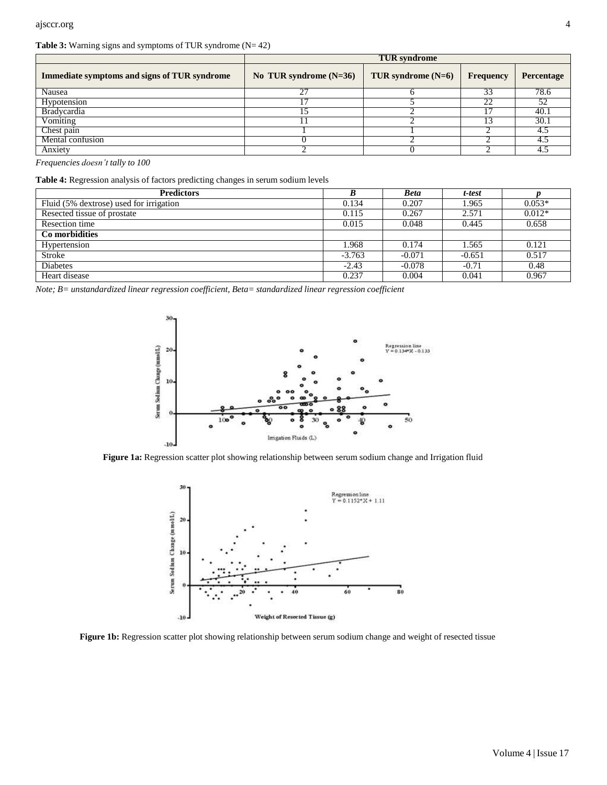#### **Table 3:** Warning signs and symptoms of TUR syndrome (N= 42)

|                                              | <b>TUR</b> syndrome      |                      |           |            |  |
|----------------------------------------------|--------------------------|----------------------|-----------|------------|--|
| Immediate symptoms and signs of TUR syndrome | No TUR syndrome $(N=36)$ | TUR syndrome $(N=6)$ | Frequency | Percentage |  |
| Nausea                                       | דר                       |                      | 33        | 78.6       |  |
| Hypotension                                  |                          |                      |           |            |  |
| <b>Bradycardia</b>                           |                          |                      |           | 40.        |  |
| Vomiting                                     |                          |                      |           | 30.1       |  |
| Chest pain                                   |                          |                      |           |            |  |
| Mental confusion                             |                          |                      |           |            |  |
| Anxiety                                      |                          |                      |           |            |  |

*Frequencies doesn't tally to 100*

| <b>Predictors</b>                       |          | <b>Beta</b> | t-test   |          |
|-----------------------------------------|----------|-------------|----------|----------|
| Fluid (5% dextrose) used for irrigation | 0.134    | 0.207       | 1.965    | $0.053*$ |
| Resected tissue of prostate             | 0.115    | 0.267       | 2.571    | $0.012*$ |
| Resection time                          | 0.015    | 0.048       | 0.445    | 0.658    |
| Co morbidities                          |          |             |          |          |
| Hypertension                            | 1.968    | 0.174       | 1.565    | 0.121    |
| Stroke                                  | $-3.763$ | $-0.071$    | $-0.651$ | 0.517    |
| <b>Diabetes</b>                         | $-2.43$  | $-0.078$    | $-0.71$  | 0.48     |
| Heart disease                           | 0.237    | 0.004       | 0.041    | 0.967    |





**Figure 1a:** Regression scatter plot showing relationship between serum sodium change and Irrigation fluid



**Figure 1b:** Regression scatter plot showing relationship between serum sodium change and weight of resected tissue